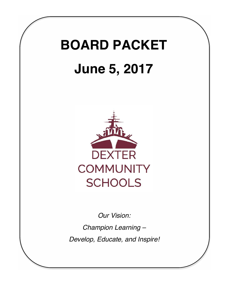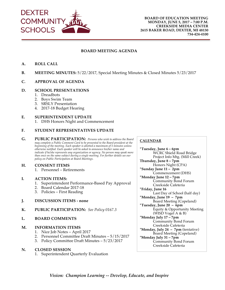

### **BOARD MEETING AGENDA**

- **A. ROLL CALL**
- **B. MEETING MINUTES:** 5/22/2017, Special Meeting Minutes & Closed Minutes 5/23/2017
- **C. APPROVAL OF AGENDA**

#### **D. SCHOOL PRESENTATIONS**

- 1. Dreadbots
- 2. Boys Swim Team
- 3. SRSLY Presentation
- 4. 2017-18 Budget Hearing

#### **E. SUPERINTENDENT UPDATE**

1. DHS Honors Night and Commencement

#### **F. STUDENT REPRESENTATIVES UPDATE**

**G. PUBLIC PARTICIPATION:** *Persons who wish to address the Board may complete a Public Comment Card to be presented to the Board president at the beginning of the meeting. Each speaker is allotted a maximum of 5 minutes unless otherwise notified. Each speaker will be asked to announce his/her name and indicate if he/she represents any organization or agency. No person may speak more than once on the same subject during a single meeting. For further details see our policy on Public Participation at Board Meetings.* 

#### **H. CONSENT ITEMS**

1. Personnel – Retirements

#### **I. ACTION ITEMS:**

- 1. Superintendent Performance-Based Pay Approval
- 2. Board Calendar 2017-18
- 3. Policies First Reading
- **J. DISCUSSION ITEMS - none**
- **K. PUBLIC PARTICIPATION:** *See Policy 0167.3*
- **L. BOARD COMMENTS**

#### **M. INFORMATION ITEMS**

- 1. Nice Job Notes April 2017
- 2. Personnel Committee Draft Minutes 5/15/2017
- 3. Policy Committee Draft Minutes 5/23/2017

#### **N. CLOSED SESSION**

1. Superintendent Quarterly Evaluation

#### **CALENDAR**

**\*Tuesday, June 6 – 6pm** WCRC Shield Road Bridge Project Info Mtg. (Mill Creek) **Thursday, June 8 – 7pm** Honors Night (CPA) **\*Sunday June 11 – 2pm** Commencement (DHS) **\*Monday June 12 – 7pm** Community Bond Forum Creekside Cafeteria **\*Friday, June 16** Last Day of School (half day) **\*Monday, June 19 – 7pm** Board Meeting (Copeland) **\*Tuesday, June 20 – 6pm** Equity & Opportunity Meeting (WISD Vogel A & B) \***Monday July 17 – 7pm** Community Bond Forum Creekside Cafeteria \***Monday, July 24 – 7pm** (tentative) Board Meeting (Copeland) \***Monday July 31 – 7pm** Community Bond Forum Creekside Cafeteria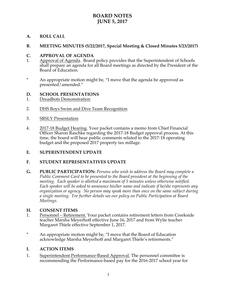# **BOARD NOTES JUNE 5, 2017**

### **A. ROLL CALL**

### **B. MEETING MINUTES (5/22/2017, Special Meeting & Closed Minutes 5/23/2017)**

### **C. APPROVAL OF AGENDA**

- 1. Approval of Agenda. Board policy provides that the Superintendent of Schools shall prepare an agenda for all Board meetings as directed by the President of the Board of Education.
- \* An appropriate motion might be, "I move that the agenda be approved as presented/amended."

# **D. SCHOOL PRESENTATIONS**<br>1. **Dreadbots Demonstration**

- Dreadbots Demonstration
- 2. DHS Boys Swim and Dive Team Recognition
- 3. SRSLY Presentation
- 4. 2017-18 Budget Hearing. Your packet contains a memo from Chief Financial Officer Sharon Raschke regarding the 2017-18 Budget approval process. At this time, the board will hear public comments related to the 2017-18 operating budget and the proposed 2017 property tax millage.
- **E. SUPERINTENDENT UPDATE**

### **F. STUDENT REPRESENTATIVES UPDATE**

**G. PUBLIC PARTICIPATION:** *Persons who wish to address the Board may complete a Public Comment Card to be presented to the Board president at the beginning of the meeting. Each speaker is allotted a maximum of 5 minutes unless otherwise notified. Each speaker will be asked to announce his/her name and indicate if he/she represents any organization or agency. No person may speak more than once on the same subject during a single meeting. For further details see our policy on Public Participation at Board Meetings.*

### **H. CONSENT ITEMS**

- 1. Personnel Retirement. Your packet contains retirement letters from Creekside teacher Marsha Meyerhoff effective June 16, 2017 and from Wylie teacher Margaret Thiele effective September 1, 2017.
- \* An appropriate motion might be, "I move that the Board of Education acknowledge Marsha Meyerhoff and Margaret Thiele's retirements."

### **I. ACTION ITEMS**

1. Superintendent Performance-Based Approval. The personnel committee is recommending the Performance-based pay for the 2016-2017 school year for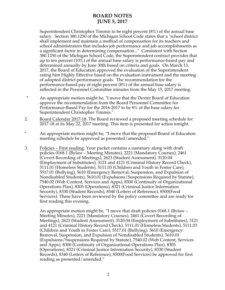# **BOARD NOTES JUNE 5, 2017**

Superintendent Christopher Timmis to be eight percent (8%) of the annual base salary. Section 380.1250 of the Michigan School Code states that a "school district shall implement and maintain a method of compensation for its teachers and school administrators that includes job performance and job accomplishments as a significant factor in determining compensation..." Consistent with Section 380.1250 of the Michigan School Code, the Superintendent contract provides that up to ten percent  $(10\%)$  of the annual base salary is performance-based pay and determined annually by June 30th based on criteria and goals. On March 13, 2017, the Board of Education approved the evaluation of the Superintendent rating him Highly Effective based on the evaluation instrument and the meeting of adopted district performance goals. The recommendation for the performance-based pay of eight percent (8%) of the annual base salary is reflected in the Personnel Committee minutes from the May 15, 2017 meeting.

- \* An appropriate motion might be, "I move that the Dexter Board of Education approve the recommendation from the Board Personnel Committee for Performance-Based Pay for the 2016-2017 to be 8% of the base salary for Superintendent Christopher Timmis."
- 2. Board Calendar 2017-18. The Board reviewed a proposed meeting schedule for 2017-18 at its May 22, 2017 meeting. This item is presented for action tonight.
- \* An appropriate motion might be, "I move that the proposed Board of Education meeting schedule be approved as presented/amended."
- 3. Policies First reading. Your packet contains a summary along with draft policies 0168.1 (Bylaw – Meeting Minutes), 2221 (Mandatory Courses), 2461 (Covert Recording of Meetings), 2623 (Student Assessment), 3120.04 (Employment of Substitutes), 3121 and 4121 (Criminal History Record Check), 5111.01 (Homeless Students), 5111.03 (Children and Youth in Foster Care), 5517.01 (Bullying), 5610 (Emergency Removal, Suspension, and Expulsion of Nondisabled Students), 5610.01 (Expulsions/Suspensions Required by Statute), 7540.02 (Web Content, Services and Apps), 8300 (Continuity of Organizational Operations Plan), 8305 (Operations), 8321 (Criminal Justice Information Security), 8330 (Student Records), 8340 (Letters of Reference), 8500(Food Services). These have been reviewed by the policy committee and are ready for first reading this evening.

An appropriate motion might be, "I move that draft policies 0168.1 (Bylaw – Meeting Minutes), 2221 (Mandatory Courses), 2461 (Covert Recording of Meetings), 2623 (Student Assessment), 3120.04 (Employment of Substitutes), 3121 and 4121 (Criminal History Record Check), 5111.01 (Homeless Students), 5111.03 (Children and Youth in Foster Care), 5517.01 (Bullying), 5610 (Emergency Removal, Suspension, and Expulsion of Nondisabled Students), 5610.01 (Expulsions/Suspensions Required by Statute), 7540.02 (Web Content, Services and Apps), 8300 (Continuity of Organizational Operations Plan), 8305 (Operations), 8321 (Criminal Justice Information Security), 8330 (Student Records), 8340 (Letters of Reference), 8500(Food Services) be approved for first reading as presented/amended."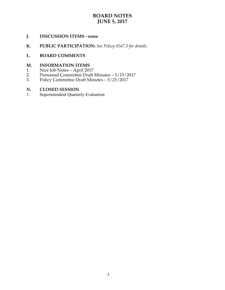# **BOARD NOTES JUNE 5, 2017**

### **J. DISCUSSION ITEMS - none**

**K. PUBLIC PARTICIPATION:** *See Policy 0167.3 for details.*

### **L. BOARD COMMENTS**

### **M. INFORMATION ITEMS**

- 1. Nice Job Notes April 2017
- 2. Personnel Committee Draft Minutes 5/15/2017
- 3. Policy Committee Draft Minutes 5/23/2017

### **N. CLOSED SESSION**

1. Superintendent Quarterly Evaluation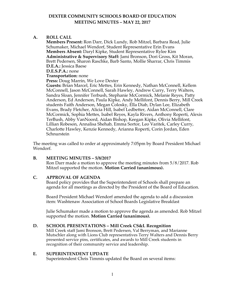### **A. ROLL CALL**

**Members Present:** Ron Darr, Dick Lundy, Rob Mitzel, Barbara Read, Julie Schumaker, Michael Wendorf, Student Representative Erin Evans **Members Absent:** Daryl Kipke, Student Representative Rylee Kim **Administrative & Supervisory Staff:** Jami Bronson, Dori Gross, Kit Moran, Brett Pedersen, Sharon Raschke, Barb Santo, Mollie Sharrar, Chris Timmis **D.E.A.:** Jessica Baese

### **D.E.S.P.A.:** none

### **Transportation:** none

**Press:** Doug Marrin, We Love Dexter

**Guests:** Brian Marcel, Eric Mettes, Erin Kennedy, Nathan McConnell, Kellem McConnell, Jason McConnell, Sarah Hawley, Andrew Curry, Terry Walters, Sandra Sloan, Jennifer Terbush, Stephanie McCormick, Melanie Reyes, Patty Anderson, Ed Anderson, Paula Kipke, Andy Mellifont, Dennis Berry, Mill Creek students Faith Anderson, Megan Colosky, Ella Diab, Dylan Lee, Elizabeth Evans, Brady Fletcher, Alicia Hill, Isabel Ledbetter, Aidan McConnell, Clare McCormick, Sophia Mettes, Isabel Reyes, Kayla Rivers, Anthony Roperti, Alexis TerBush, Abby VanNoord, Aidan Bishop, Keegan Kipke, Olivia Mellifont, Lillian Robeson, Annalisa Shehab, Emma Sortor, Leo Varitek, Carley Curry, Charlotte Hawley, Kenzie Kennedy, Arianna Roperti, Corin Jordan, Eden Schnurstein

The meeting was called to order at approximately 7:05pm by Board President Michael Wendorf.

### **B. MEETING MINUTES – 5/8/2017**

Ron Darr made a motion to approve the meeting minutes from 5/8/2017. Rob Mitzel supported the motion. **Motion Carried (unanimous).**

### **C. APPROVAL OF AGENDA**

Board policy provides that the Superintendent of Schools shall prepare an agenda for all meetings as directed by the President of the Board of Education.

Board President Michael Wendorf amended the agenda to add a discussion item: Washtenaw Association of School Boards Legislative Breakfast

Julie Schumaker made a motion to approve the agenda as amended. Rob Mitzel supported the motion. **Motion Carried (unanimous).**

### **D. SCHOOL PRESENTATIONS – Mill Creek CS&L Recognition**

Mill Creek staff Jami Bronson, Brett Pedersen, Val Berryman, and Marianne Mutschler along with Lions Club representatives Terry Walters and Dennis Berry presented service pins, certificates, and awards to Mill Creek students in recognition of their community service and leadership.

### **E. SUPERINTENDENT UPDATE**

Superintendent Chris Timmis updated the Board on several items: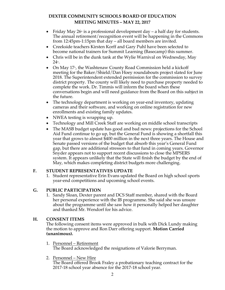- Friday May  $26<sup>*</sup>$  is a professional development day a half day for students. The annual retirement/recognition event will be happening in the Commons from 12:45pm-1:15pm that day – all board members are invited.
- Creekside teachers Kirsten Korff and Gary Puhl have been selected to become national trainers for Summit Learning (Basecamp) this summer.
- Chris will be in the dunk tank at the Wylie Warnival on Wednesday, May  $24$ th.
- On May  $17^{\circ}$ , the Washtenaw County Road Commission held a kickoff meeting for the Baker/Shield/Dan Hoey roundabouts project slated for June 2018. The Superintendent extended permission for the commission to survey district property. The county will likely need to purchase property needed to complete the work. Dr. Timmis will inform the board when these conversations begin and will need guidance from the Board on this subject in the future.
- The technology department is working on year-end inventory, updating cameras and their software, and working on online registration for new enrollments and existing family updates.
- NWEA testing is wrapping up.
- Technology and Mill Creek Staff are working on middle school transcripts
- The MASB budget update has good and bad news: projections for the School Aid Fund continue to go up, but the General Fund is showing a shortfall this year that grows to almost \$400 million in the next three years. The House and Senate passed versions of the budget that absorb this year's General Fund gap, but there are additional stressors to that fund in coming years. Governor Snyder appears not to support recent discussions to close the MPSERS system. It appears unlikely that the State will finish the budget by the end of May, which makes completing district budgets more challenging.

### **F. STUDENT REPRESENTATIVES UPDATE**

1. Student representative Erin Evans updated the Board on high school sports year-end competitions and upcoming school events.

### **G. PUBLIC PARTICIPATION**

1. Sandy Sloan, Dexter parent and DCS Staff member, shared with the Board her personal experience with the IB programme. She said she was unsure about the programme until she saw how it personally helped her daughter and thanked Mr. Wendorf for his advice.

### **H. CONSENT ITEMS**

The following consent items were approved in bulk with Dick Lundy making the motion to approve and Ron Darr offering support. **Motion Carried (unanimous).**

- 1. Personnel Retirement The Board acknowledged the resignations of Valorie Berryman.
- 2. Personnel New Hire

The Board offered Brook Fraley a probationary teaching contract for the 2017-18 school year absence for the 2017-18 school year.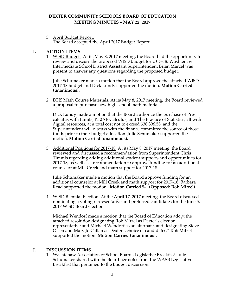3. April Budget Report. The Board accepted the April 2017 Budget Report.

### **I. ACTION ITEMS**

1. WISD Budget. At its May 8, 2017 meeting, the Board had the opportunity to review and discuss the proposed WISD budget for 2017-18. Washtenaw Intermediate School District Assistant Superintendent Brian Marcel was present to answer any questions regarding the proposed budget.

Julie Schumaker made a motion that the Board approve the attached WISD 2017-18 budget and Dick Lundy supported the motion. **Motion Carried (unanimous).**

2. DHS Math Course Materials. At its May 8, 2017 meeting, the Board reviewed a proposal to purchase new high school math materials.

Dick Lundy made a motion that the Board authorize the purchase of Precalculus with Limits, K12AE Calculus, and The Practice of Statistics, all with digital resources, at a total cost not to exceed \$38,396.58, and the Superintendent will discuss with the finance committee the source of those funds prior to their budget allocation. Julie Schumaker supported the motion. **Motion Carried (unanimous).** 

3. Additional Positions for 2017-18. At its May 8, 2017 meeting, the Board reviewed and discussed a recommendation from Superintendent Chris Timmis regarding adding additional student supports and opportunities for 2017-18, as well as a recommendation to approve funding for an additional counselor at Mill Creek and math support for 2017-18.

Julie Schumaker made a motion that the Board approve funding for an additional counselor at Mill Creek and math support for 2017-18. Barbara Read supported the motion. **Motion Carried 5-1 (Opposed: Rob Mitzel).** 

4. WISD Biennial Election. At the April 17, 2017 meeting, the Board discussed nominating a voting representative and preferred candidates for the June 5, 2017 WISD Board election.

Michael Wendorf made a motion that the Board of Education adopt the attached resolution designating Rob Mitzel as Dexter's election representative and Michael Wendorf as an alternate, and designating Steve Olsen and Mary Jo Callan as Dexter's choice of candidates." Rob Mitzel supported the motion. **Motion Carried (unanimous).** 

### **J. DISCUSSION ITEMS**

1. Washtenaw Association of School Boards Legislative Breakfast. Julie Schumaker shared with the Board her notes from the WASB Legislative Breakfast that pertained to the budget discussion.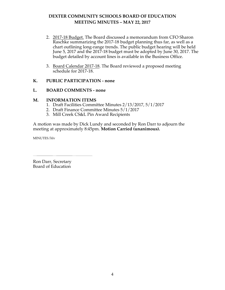- 2. 2017-18 Budget. The Board discussed a memorandum from CFO Sharon Raschke summarizing the 2017-18 budget planning thus far, as well as a chart outlining long-range trends. The public budget hearing will be held June 5, 2017 and the 2017-18 budget must be adopted by June 30, 2017. The budget detailed by account lines is available in the Business Office.
- 3. Board Calendar 2017-18. The Board reviewed a proposed meeting schedule for 2017-18.

### **K. PUBLIC PARTICIPATION - none**

### **L. BOARD COMMENTS - none**

### **M. INFORMATION ITEMS**

- 1. Draft Facilities Committee Minutes 2/13/2017, 5/1/2017
- 2. Draft Finance Committee Minutes 5/1/2017
- 3. Mill Creek CS&L Pin Award Recipients

A motion was made by Dick Lundy and seconded by Ron Darr to adjourn the meeting at approximately 8:45pm. **Motion Carried (unanimous).** 

MINUTES/hlv

Ron Darr, Secretary Board of Education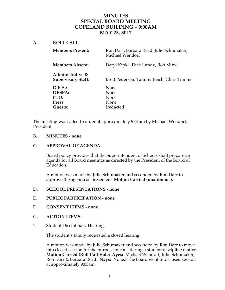## **MINUTES SPECIAL BOARD MEETING COPELAND BUILDING – 9:00AM MAY 23, 3017**

**A. ROLL CALL**

| <b>Members Present:</b>                               | Ron Darr, Barbara Read, Julie Schumaker,<br>Michael Wendorf |
|-------------------------------------------------------|-------------------------------------------------------------|
| <b>Members Absent:</b>                                | Daryl Kipke, Dick Lundy, Rob Mitzel                         |
| Administrative &<br><b>Supervisory Staff:</b>         | Brett Pedersen, Tammy Reich, Chris Timmis                   |
| D.E.A.:<br><b>DESPA:</b><br>PTO:<br>Press:<br>Guests: | None<br>None<br>None<br>None<br>[redacted]                  |

The meeting was called to order at approximately 9:01am by Michael Wendorf, President.

### **B. MINUTES - none**

### **C. APPROVAL OF AGENDA**

Board policy provides that the Superintendent of Schools shall prepare an agenda for all Board meetings as directed by the President of the Board of Education.

A motion was made by Julie Schumaker and seconded by Ron Darr to approve the agenda as presented. **Motion Carried (unanimous).**

### **D. SCHOOL PRESENTATIONS - none**

### **E. PUBLIC PARTICIPATION - none**

- **F. CONSENT ITEMS - none**
- **G. ACTION ITEMS:**
- 1. Student Disciplinary Hearing.

The student's family requested a closed hearing.

A motion was made by Julie Schumaker and seconded by Ron Darr to move into closed session for the purpose of considering a student discipline matter. **Motion Carried (Roll Call Vote: Ayes:** Michael Wendorf, Julie Schumaker, Ron Darr & Barbara Read. **Nays:** None.**)** The board went into closed session at approximately 9:03am.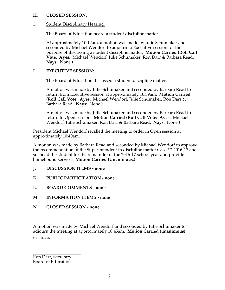### **H. CLOSED SESSION:**

### 1. Student Disciplinary Hearing.

The Board of Education heard a student discipline matter.

At approximately 10:12am, a motion was made by Julie Schumaker and seconded by Michael Wendorf to adjourn to Executive session for the purpose of discussing a student discipline matter. **Motion Carried (Roll Call Vote: Ayes:** Michael Wendorf, Julie Schumaker, Ron Darr & Barbara Read. **Nays:** None.**)**

### **I. EXECUTIVE SESSION:**

The Board of Education discussed a student discipline matter.

A motion was made by Julie Schumaker and seconded by Barbara Read to return from Executive session at approximately 10:39am. **Motion Carried (Roll Call Vote: Ayes:** Michael Wendorf, Julie Schumaker, Ron Darr & Barbara Read. **Nays:** None.**)**

A motion was made by Julie Schumaker and seconded by Barbara Read to return to Open session. **Motion Carried (Roll Call Vote: Ayes:** Michael Wendorf, Julie Schumaker, Ron Darr & Barbara Read. **Nays:** None.**)**

President Michael Wendorf recalled the meeting to order in Open session at approximately 10:40am.

A motion was made by Barbara Read and seconded by Michael Wendorf to approve the recommendation of the Superintendent in discipline matter Case #2 2016-17 and suspend the student for the remainder of the 2016-17 school year and provide homebound services. **Motion Carried (Unanimous**.**)**

- **J. DISCUSSION ITEMS - none**
- **K. PUBLIC PARTICIPATION - none**
- **L. BOARD COMMENTS - none**
- **M. INFORMATION ITEMS - none**
- **N. CLOSED SESSION - none**

A motion was made by Michael Wendorf and seconded by Julie Schumaker to adjourn the meeting at approximately 10:45am. **Motion Carried (unanimous).** MINUTES/hlv

**\_\_\_\_\_\_\_\_\_\_\_\_\_\_\_\_\_\_\_\_\_\_\_\_\_\_\_\_\_\_\_\_\_\_\_\_\_** Ron Darr, Secretary Board of Education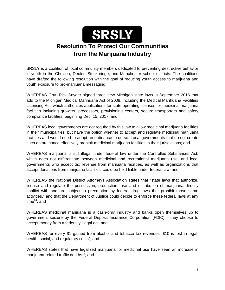

# **Resolution To Protect Our Communities from the Marijuana Industry**

SRSLY is a coalition of local community members dedicated to preventing destructive behavior in youth in the Chelsea, Dexter, Stockbridge, and Manchester school districts. The coalitions have drafted the following resolution with the goal of reducing youth access to marijuana and youth exposure to pro-marijuana messaging.

WHEREAS Gov. Rick Snyder signed three new Michigan state laws in September 2016 that add to the Michigan Medical Marihuana Act of 2008, including the Medical Marihuana Facilities Licensing Act, which authorizes applications for state operating licenses for medicinal marijuana facilities including growers, processors, provisioning centers, secure transporters and safety compliance facilities, beginning Dec. 15, 2017; and

WHEREAS local governments are *not* required by this law to allow medicinal marijuana facilities in their municipalities, but have the option whether to accept and regulate medicinal marijuana facilities and would need to adopt an ordinance to do so. Local governments that do not create such an ordinance effectively prohibit medicinal marijuana facilities in their jurisdictions; and

WHEREAS marijuana is still illegal under federal law under the Controlled Substances Act, which does not differentiate between medicinal and recreational marijuana use, and local governments who accept tax revenue from marijuana facilities, as well as organizations that accept donations from marijuana facilities, could be held liable under federal law; and

WHEREAS the National District Attorneys Association states that "state laws that authorize, license and regulate the possession, production, use and distribution of marijuana directly conflict with and are subject to preemption by federal drug laws that prohibit those same activities," and that the Department of Justice could decide to enforce these federal laws at any time $^{24}$ ; and

WHEREAS medicinal marijuana is a cash-only industry and banks open themselves up to government seizure by the Federal Deposit Insurance Corporation (FDIC) if they choose to accept money from a federally illegal act; and

WHEREAS for every \$1 gained from alcohol and tobacco tax revenues, \$10 is lost in legal, health, social, and regulatory costs<sup>1</sup>; and

WHEREAS states that have legalized marijuana for medicinal use have seen an increase in marijuana-related traffic deaths<sup>16</sup>; and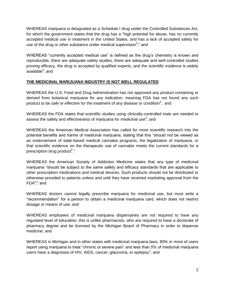WHEREAS marijuana is designated as a Schedule I drug under the Controlled Substances Act, for which the government states that the drug has a "high potential for abuse, has no currently accepted medical use in treatment in the United States, and has a lack of accepted safety for use of the drug or other substance under medical supervision<sup>3</sup>;" and

WHEREAS "currently accepted medical use" is defined as the drug's chemistry is known and reproducible, there are adequate safety studies, there are adequate and well-controlled studies proving efficacy, the drug is accepted by qualified experts, and the scientific evidence is widely available<sup>3</sup>; and

### **THE MEDICINAL MARIJUANA INDUSTRY IS NOT WELL REGULATED**

WHEREAS the U.S. Food and Drug Administration has *not* approved any product containing or derived from botanical marijuana *for any indication,* meaning FDA has not found any such product to be safe or effective for the treatment of any disease or condition<sup>4</sup>; and

WHEREAS the FDA states that scientific studies using clinically-controlled trials are needed to assess the safety and effectiveness of marijuana for medicinal use<sup>4</sup>; and

WHEREAS the American Medical Association has called for more scientific research into the potential benefits and harms of medicinal marijuana, stating that this "should not be viewed as an endorsement of state-based medical cannabis programs, the legalization of marijuana, or that scientific evidence on the therapeutic use of cannabis meets the current standards for a prescription drug product<sup>5</sup>."

WHEREAS the American Society of Addiction Medicine states that any type of medicinal marijuana "should be subject to the same safety and efficacy standards that are applicable to other prescription medications and medical devices. Such products should not be distributed or otherwise provided to patients unless and until they have received marketing approval from the FDA<sup>6</sup>;" and

WHEREAS doctors cannot legally prescribe marijuana for medicinal use, but must write a "recommendation" for a person to obtain a medicinal marijuana card, which does not restrict dosage or means of use; and

WHEREAS employees of medicinal marijuana dispensaries are not required to have any regulated level of education; this is unlike pharmacists, who are required to have a doctorate of pharmacy degree and be licensed by the Michigan Board of Pharmacy in order to dispense medicine; and

WHEREAS in Michigan and in other states with medicinal marijuana laws, 80% or more of users report using marijuana to treat "chronic or severe pain" and less than 5% of medicinal marijuana users have a diagnoses of HIV, AIDS, cancer, glaucoma, or epilepsy<sup>7</sup>; and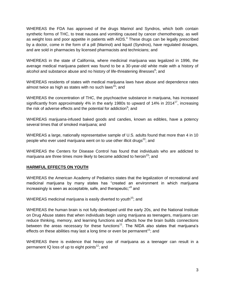WHEREAS the FDA *has* approved of the drugs Marinol and Syndros, which both contain synthetic forms of THC, to treat nausea and vomiting caused by cancer chemotherapy, as well as weight loss and poor appetite in patients with AIDS.<sup>4</sup> These drugs can be legally prescribed by a doctor, come in the form of a pill (Marinol) and liquid (Syndros), have regulated dosages, and are sold in pharmacies by licensed pharmacists and technicians; and

WHEREAS in the state of California, where medicinal marijuana was legalized in 1996, the average medical marijuana patient was found to be a 30-year-old white male with a history of alcohol and substance abuse and no history of life-threatening illnesses $^8$ ; and

WHEREAS residents of states with medical marijuana laws have abuse and dependence rates almost twice as high as states with no such laws<sup>16</sup>; and

WHEREAS the concentration of THC, the psychoactive substance in marijuana, has increased significantly from approximately 4% in the early 1980s to upward of 14% in 2014 $^{17}$ , increasing the risk of adverse effects and the potential for addiction<sup>9</sup>; and

WHEREAS marijuana-infused baked goods and candies, known as edibles, have a potency several times that of smoked marijuana; and

WHEREAS a large, nationally representative sample of U.S. adults found that more than 4 in 10 people who ever used marijuana went on to use other illicit drugs $^{22}$ ; and

WHEREAS the Centers for Disease Control has found that individuals who are addicted to marijuana are three times more likely to become addicted to heroin<sup>23</sup>; and

### **HARMFUL EFFECTS ON YOUTH**

WHEREAS the American Academy of Pediatrics states that the legalization of recreational and medicinal marijuana by many states has "created an environment in which marijuana increasingly is seen as acceptable, safe, and therapeutic;"<sup>9</sup> and

WHEREAS medicinal marijuana is easily diverted to youth<sup>10</sup>; and

WHEREAS the human brain is not fully developed until the early 20s, and the National Institute on Drug Abuse states that when individuals begin using marijuana as teenagers, marijuana can reduce thinking, memory, and learning functions and affects how the brain builds connections between the areas necessary for these functions<sup>11</sup>. The NIDA also states that marijuana's effects on these abilities may last a long time or even be permanent<sup>11</sup>; and

WHEREAS there is evidence that heavy use of marijuana as a teenager can result in a permanent IQ loss of up to eight points<sup>12</sup>; and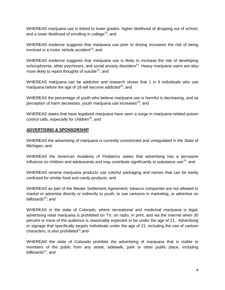WHEREAS marijuana use is linked to lower grades, higher likelihood of dropping out of school, and a lower likelihood of enrolling in college<sup>13</sup>; and

WHEREAS evidence suggests that marijuana use prior to driving increases the risk of being involved in a motor vehicle accident<sup>14</sup>; and

WHEREAS evidence suggests that marijuana use is likely to increase the risk of developing schizophrenia, other psychoses, and social anxiety disorders<sup>14</sup>. Heavy marijuana users are also more likely to report thoughts of suicide<sup>14</sup>; and

WHEREAS marijuana can be addictive and research shows that 1 in 6 individuals who use marijuana before the age of 18 will become addicted<sup>15</sup>; and

WHEREAS the percentage of youth who believe marijuana use is harmful is decreasing, and as perception of harm decreases, youth marijuana use increases<sup>18</sup>; and

WHEREAS states that have legalized marijuana have seen a surge in marijuana-related poison control calls, especially for children<sup>25</sup>; and

### **ADVERTISING & SPONSORSHIP**

WHEREAS the advertising of marijuana is currently unrestricted and unregulated in the State of Michigan; and

WHEREAS the American Academy of Pediatrics states that advertising has a pervasive influence on children and adolescents and may contribute significantly to substance use<sup>19</sup>; and

WHEREAS several marijuana products use colorful packaging and names that can be easily confused for similar food and candy products; and

WHEREAS as part of the Master Settlement Agreement, tobacco companies are not allowed to market or advertise directly or indirectly to youth, to use cartoons in marketing, or advertise on billboards $^{20}$ ; and

WHEREAS in the state of Colorado, where recreational and medicinal marijuana is legal, advertising retail marijuana is prohibited on TV, on radio, in print, and via the internet when 30 percent or more of the audience is reasonably expected to be under the age of 21. Advertising or signage that specifically targets individuals under the age of 21, including the use of cartoon characters, is also prohibited $21$ ; and

WHEREAS the state of Colorado prohibits the advertising of marijuana that is visible to members of the public from any street, sidewalk, park or other public place, including billboards $^{21}$ ; and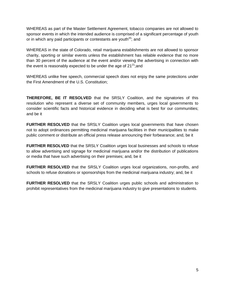WHEREAS as part of the Master Settlement Agreement, tobacco companies are not allowed to sponsor events in which the intended audience is comprised of a significant percentage of youth or in which any paid participants or contestants are youth $20$ ; and

WHEREAS in the state of Colorado, retail marijuana establishments are not allowed to sponsor charity, sporting or similar events unless the establishment has reliable evidence that no more than 30 percent of the audience at the event and/or viewing the advertising in connection with the event is reasonably expected to be under the age of  $21^{21}$ ; and

WHEREAS unlike free speech, commercial speech does not enjoy the same protections under the First Amendment of the U.S. Constitution;

**THEREFORE, BE IT RESOLVED** that the SRSLY Coalition, and the signatories of this resolution who represent a diverse set of community members, urges local governments to consider scientific facts and historical evidence in deciding what is best for our communities; and be it

**FURTHER RESOLVED** that the SRSLY Coalition urges local governments that have chosen not to adopt ordinances permitting medicinal marijuana facilities in their municipalities to make public comment or distribute an official press release announcing their forbearance; and, be it

**FURTHER RESOLVED** that the SRSLY Coalition urges local businesses and schools to refuse to allow advertising and signage for medicinal marijuana and/or the distribution of publications or media that have such advertising on their premises; and, be it

**FURTHER RESOLVED** that the SRSLY Coalition urges local organizations, non-profits, and schools to refuse donations or sponsorships from the medicinal marijuana industry; and, be it

**FURTHER RESOLVED** that the SRSLY Coalition urges public schools and administration to prohibit representatives from the medicinal marijuana industry to give presentations to students.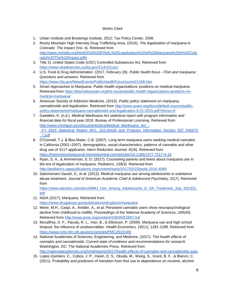### Works Cited

- 1. Urban Institute and Brookings Institute, 2012; Tax Policy Center, 2008
- 2. Rocky Mountain High Intensity Drug Trafficking Area. (2016). *The legalization of marijuana in Colorado: The impact* (Vol. 4). Retrieved from [http://www.rmhidta.org/html/2016%20FINAL%20Legalization%20of%20Marijuana%20in%20Colo](http://www.rmhidta.org/html/2016%20FINAL%20Legalization%20of%20Marijuana%20in%20Colorado%20The%20Impact.pdfv) [rado%20The%20Impact.pdfv](http://www.rmhidta.org/html/2016%20FINAL%20Legalization%20of%20Marijuana%20in%20Colorado%20The%20Impact.pdfv)
- 3. Title 21 United States Code (USC) Controlled Substances Act. Retrieved from <https://www.deadiversion.usdoj.gov/21cfr/21usc/>
- 4. U.S. Food & Drug Administration. (2017, February 28). *Public health focus - FDA and marijuana: Questions and answers.* Retrieved from <https://www.fda.gov/NewsEvents/PublicHealthFocus/ucm421168.htm>
- 5. Smart Approaches to Marijuana. *Public health organizations' positions on medical marijuana*. Retrieved from [https://learnaboutsam.org/the-issues/public-health-organizations-positions-on](https://learnaboutsam.org/the-issues/public-health-organizations-positions-on-medical-marijuana/)[medical-marijuana/](https://learnaboutsam.org/the-issues/public-health-organizations-positions-on-medical-marijuana/)
- 6. American Society of Addiction Medicine. (2015). *Public policy statement on marijuana, cannabinoids and legalization*. Retrieved from [http://www.asam.org/docs/default-source/public](http://www.asam.org/docs/default-source/public-policy-statements/marijuana-cannabinoids-and-legalization-9-21-2015.pdf?sfvrsn=0)[policy-statements/marijuana-cannabinoids-and-legalization-9-21-2015.pdf?sfvrsn=0](http://www.asam.org/docs/default-source/public-policy-statements/marijuana-cannabinoids-and-legalization-9-21-2015.pdf?sfvrsn=0)
- 7. Gaedeke, K. (n.d.). *Medical Marihuana Act statistical report with program information and financial data for fiscal year 2016*. Bureau of Professional Licensing. Retrieved from http://www.michigan.gov/documents/lara/Medical Marihuana Act -FY 2016 Statistical Report MCL 333.26426 and Program\_Information\_Section\_507\_546675 [\\_7.pdf](http://www.michigan.gov/documents/lara/Medical_Marihuana_Act_-_FY_2016_Statistical_Report_MCL_333.26426_and_Program_Information_Section_507_546675_7.pdf)
- 8. O'Connell, T.J. & Bou-Matar, C.B. (2007). Long term marijuana users seeking medical cannabis in California (2001–2007): demographics, social characteristics, patterns of cannabis and other drug use of 4117 applicants. *Harm Reduction Journal, 4*(16). Retrieved from <https://harmreductionjournal.biomedcentral.com/articles/10.1186/1477-7517-4-16>
- 9. Ryan, S. A., & Ammerman, S. D. (2017). Counseling parents and teens about marijuana use in the era of legalization of marijuana. *Pediatrics, 139*(3). Retrieved from <http://pediatrics.aappublications.org/content/early/2017/02/23/peds.2016-4069>
- 10. Salomonsen-Sautel, S., et al. (2012). Medical marijuana use among adolescents in substance abuse treatment. *Journal of American Academic Child & Adolescent Psychiatry, 51*(7). Retrieved from

https://www.atestinc.com/docs/MMJ\_Use\_Among\_Adolescents\_in\_SA\_Treatment\_July\_2012[1]. pdf

- 11. NIDA (2017). Marijuana. Retrieved from <https://www.drugabuse.gov/publications/drugfacts/marijuana>
- 12. Meier, M.H., Caspi, A., Ambler, A., et al. Persistent cannabis users show neuropsychological decline from childhood to midlife. *Proceedings of the National Academy of Sciences, 109*(40). Retrieved from<http://www.pnas.org/content/109/40/E2657.full>
- 13. Mccaffrey, D. F., Pacula, R. L., Han, B., & Ellickson, P. (2009). Marijuana use and high school dropout: the influence of unobservables. *Health Economics, 19*(11), 1281-1299. Retrieved from <https://www.ncbi.nlm.nih.gov/pmc/articles/PMC2910149/>
- 14. National Academies of Sciences, Engineering, and Medicine. (2017). *The health effects of cannabis and cannabinoids: Current state of evidence and recommendations for research.* Washington, DC: The National Academies Press. Retrieved from <http://nationalacademies.org/hmd/reports/2017/health-effects-of-cannabis-and-cannabinoids.aspx>
- 15. Lopez-Quintero, C., Cobos, J. P., Hasin, D. S., Okuda, M., Wang, S., Grant, B. F., & Blanco, C. (2011). Probability and predictors of transition from first use to dependence on nicotine, alcohol,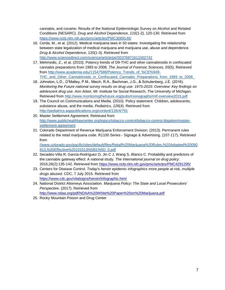cannabis, and cocaine: Results of the National Epidemiologic Survey on Alcohol and Related Conditions (NESARC). *Drug and Alcohol Dependence, 115*(1-2), 120-130. Retrieved from <https://www.ncbi.nlm.nih.gov/pmc/articles/PMC3069146/>

- 16. Cerda, M., et al. (2012). Medical marijuana laws in 50 states: Investigating the relationship between state legalization of medical marijuana and marijuana use, abuse and dependence. *Drug & Alcohol Dependence*, 120(1-3). Retrieved from <http://www.sciencedirect.com/science/article/pii/S0376871611002742>
- 17. Mehmedic, Z., et al. (2010). Potency trends of D9-THC and other cannabinoids in confiscated cannabis preparations from 1993 to 2008. *The Journal of Forensic Sciences, 55*(5). Retrieved from [http://www.academia.edu/11547588/Potency\\_Trends\\_of\\_%CE%949-](http://www.academia.edu/11547588/Potency_Trends_of_%CE%949-THC_and_Other_Cannabinoids_in_Confiscated_Cannabis_Preparations_from_1993_to_2008_) THC and Other Cannabinoids in Confiscated Cannabis Preparations from 1993 to 2008
- 18. Johnston, L.D., O'Malley, P.M., Miech, R.A., Bachman, J.G., & Schulenberg, J.E. (2016). *Monitoring the Future national survey results on drug use: 1975-2015*: *Overview: Key findings on adolescent drug use*. Ann Arbor, MI: Institute for Social Research, The University of Michigan. Retrieved from<http://www.monitoringthefuture.org/pubs/monographs/mtf-overview2015.pdf>
- 19. The Council on Communications and Media. (2010). Policy statement: Children, adolescents, substance abuse, and the media. *Pediatrics, 126*(4). Retrieved from <http://pediatrics.aappublications.org/content/126/4/791>
- 20. Master Settlement Agreement. Retrieved from [http://www.publichealthlawcenter.org/topics/tobacco-control/tobacco-control-litigation/master](http://www.publichealthlawcenter.org/topics/tobacco-control/tobacco-control-litigation/master-settlement-agreement)[settlement-agreement](http://www.publichealthlawcenter.org/topics/tobacco-control/tobacco-control-litigation/master-settlement-agreement)
- 21. Colorado Department of Revenue Marijuana Enforcement Division. (2013). Permanent rules related to the retail marijuana code. R1100 Series - Signage & Advertising. (107-117). Retrieved from

[//www.colorado.gov/pacific/sites/default/files/Retail%20Marijuana%20Rules,%20Adopted%20090](https://www.colorado.gov/pacific/sites/default/files/Retail%20Marijuana%20Rules,%20Adopted%20090913,%20Effective%20101513%5B1%5D_0.pdf) [913,%20Effective%20101513%5B1%5D\\_0.pdf](https://www.colorado.gov/pacific/sites/default/files/Retail%20Marijuana%20Rules,%20Adopted%20090913,%20Effective%20101513%5B1%5D_0.pdf)

- 22. Secades-Villa R, Garcia-Rodríguez O, Jin C J, Wang S, Blanco C. Probability and predictors of the cannabis gateway effect: A national study. *The International journal on drug policy*. 2015;26(2):135-142. Retrieved from<https://www.ncbi.nlm.nih.gov/pmc/articles/PMC4291295/>
- 23. Centers for Disease Control. *Today's heroin epidemic infographics more people at risk, multiple drugs abused*. CDC, 7 July 2015. Retrieved from <https://www.cdc.gov/vitalsigns/heroin/infographic.html>
- 24. National District Attorneys Association. *Marijuana Policy: The State and Local Prosecutors' Perspective.* (2017). Retrieved from <http://www.ndaa.org/pdf/NDAA%20White%20Paper%20on%20Marijuana.pdf>
- 25. Rocky Mountain Poison and Drug Center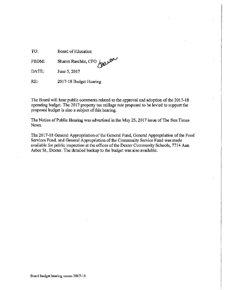TO: Board of Education

Sharon Raschke, CFO ABOUT FROM:

DATE: June 5, 2017

 $RE:$ 2017-18 Budget Hearing

The Board will hear public comments related to the approval and adoption of the 2017-18 operating budget. The 2017 property tax millage rate proposed to be levied to support the proposed budget is also a subject of this hearing.

The Notice of Public Hearing was advertised in the May 25, 2017 issue of The Sun Times News.

The 2017-18 General Appropriation of the General Fund, General Appropriation of the Food Services Fund, and General Appropriation of the Community Service Fund was made available for public inspection at the offices of the Dexter Community Schools, 7714 Ann Arbor St., Dexter. The detailed backup to the budget was also available.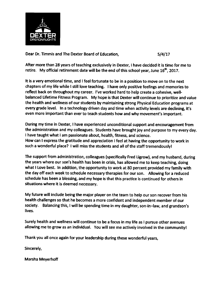

Dear Dr. Timmis and The Dexter Board of Education.  $5/4/17$ 

After more than 28 years of teaching exclusively in Dexter, I have decided it is time for me to retire. My official retirement date will be the end of this school year, June 16<sup>th</sup>, 2017.

It is a very emotional time, and I feel fortunate to be in a position to move on to the next chapters of my life while I still love teaching. I have only positive feelings and memories to reflect back on throughout my career. I've worked hard to help create a cohesive, wellbalanced Lifetime Fitness Program. My hope is that Dexter will continue to prioritize and value the health and wellness of our students by maintaining strong Physical Education programs at every grade level. In a technology driven day and time when activity levels are declining, it's even more important than ever to teach students how and why movement's important.

During my time in Dexter, I have experienced unconditional support and encouragement from the administration and my colleagues. Students have brought joy and purpose to my every day. I have taught what I am passionate about, health, fitness, and science. How can I express the gratitude and appreciation I feel at having the opportunity to work in such a wonderful place? I will miss the students and all of the staff tremendously!

The support from administration, colleagues (specifically Fred Ligrow), and my husband, during the years where our son's health has been in crisis, has allowed me to keep teaching, doing what I Love best. In addition, the opportunity to work at 80 percent provided my family with the day off each week to schedule necessary therapies for our son. Allowing for a reduced schedule has been a blessing, and my hope is that this practice is continued for others in situations where it is deemed necessary.

My future will include being the major player on the team to help our son recover from his health challenges so that he becomes a more confident and independent member of our society. Balancing this, I will be spending time in my daughter, son-in-law, and grandson's lives.

Surely health and wellness will continue to be a focus in my life as I pursue other avenues allowing me to grow as an individual. You will see me actively involved in the community!

Thank you all once again for your leadership during these wonderful years,

Sincerely,

**Marsha Meyerhoff**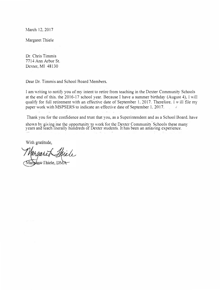March 12,2017

Margaret Thiele

Dr. Chris Timmis 7714 Ann Arbor St. Dexter, MI 48130

Dear Dr. Timmis and School Board Members.

I am writing to notify you of my intent to retire from teaching in the Dexter Community Schools at the end of this. the 2016-17 school year. Because I have a summer birthday (August 4), I will qualify for full retirement with an effective date of September 1, 2017. Therefore, I  $\cdot$  ill file my paper work with MSPSERS to indicate an effective date of September 1, 2017.

Thank you for the confidence and trust that you, as a Superintendent and as a School Board, have

shown by giving me the opportunity to work for the Dexter Community Schools these many years and teach literally hundreds of Dexter students. It has been an amazing experience.

With gratitude,

Aret Thiele, DMA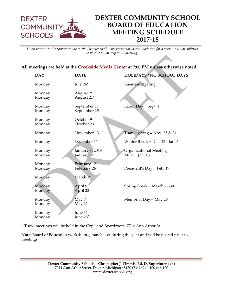

*Upon request to the Superintendent, the District shall make reasonable accommodation for a person with disabilities to be able to participate in meetings.*

## **All meetings are held at the Creekside Media Center at 7:00 PM unless otherwise noted.**

| <b>DAY</b>       | <b>DATE</b>                   | <b>HOLIDAYS / NO SCHOOL DAYS</b>                 |
|------------------|-------------------------------|--------------------------------------------------|
| Monday           | July 24*                      | <b>Business Meeting</b>                          |
| Monday<br>Monday | August 7*<br>August 21*       |                                                  |
| Monday<br>Monday | September 11<br>September 25  | Labor Day = Sept. $4$                            |
| Monday<br>Monday | October 9<br>October 23       |                                                  |
| Monday           | November 13                   | Thanksgiving = Nov. 23 & 24                      |
| Monday           | December 11                   | Winter Break = Dec. $25$ - Jan. 5                |
| Monday<br>Monday | January 8, 2018<br>January 22 | <b>Organizational Meeting</b><br>$MLK = Jan. 15$ |
| Monday<br>Monday | February 12<br>February 26    | President's Day = Feb. 19                        |
| Monday           | March 19                      |                                                  |
| Monday<br>Monday | April 9<br>April 23           | Spring Break = March $26-30$                     |
| Monday<br>Monday | May 7<br>May 21               | Memorial Day = May 28                            |
| Monday<br>Monday | June 11<br>June 25*           |                                                  |

**\*** These meetings will be held in the Copeland Boardroom, 7714 Ann Arbor St.

**Note:** Board of Education workshop(s) may be set during the year and will be posted prior to meetings.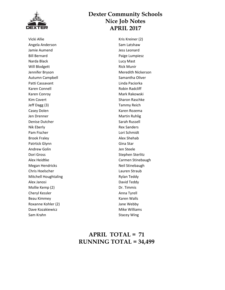

Vicki Allie Angela Anderson Jamie Aumend Bill Bernard Narda Black Will Blodgett Jennifer Bryson Autumn Campbell Patti Cassavant Karen Connell Karen Conroy Kim Covert Jeff Dagg (3) Casey Dolen Jen Drenner Denise Dutcher Nik Eberly Pam Fischer Brook Fraley Patrtick Glynn Andrew Golin Dori Gross Alex Heidtke Megan Hendricks Chris Hoelscher Mitchell Houghtaling Alex Janosi Mollie Kemp (2) Cheryl Kessler Beau Kimmey Roxanne Kohler (2) Dave Kozakiewicz Sam Krahn

# **Dexter Community Schools Nice Job Notes APRIL 2017**

Kris Kreiner (2) Sam Latshaw Jess Leonard Paige Lumpiesz Lucy Mast Rick Munir Meredith Nickerson Samantha Oliver Linda Paciorka Robin Radcliff Mark Rakowski Sharon Raschke Tammy Reich Karen Rozema Martin Ruhlig Sarah Russell Rex Sanders Lori Schmidt Alex Shehab Gina Star Jen Steele Stephen Sterlitz Carmen Stinebaugh Neil Stinebaugh Lauren Straub Rylan Teddy David Teddy Dr. Timmis Anna Tyrell Karen Walls Jane Webby Mike Williams Stacey Wing

# **APRIL TOTAL = 71 RUNNING TOTAL = 34,499**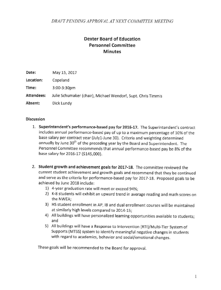### DRAFT PENDING APPROVAL AT NEXT COMMITTEE MEETING

# **Dexter Board of Education Personnel Committee Minutes**

| Date:             | May 15, 2017                                                 |
|-------------------|--------------------------------------------------------------|
| Location:         | Copeland                                                     |
| Time:             | 3:00-3:30pm                                                  |
| <b>Attendees:</b> | Julie Schumaker (chair), Michael Wendorf, Supt. Chris Timmis |
| Absent:           | Dick Lundy                                                   |

### **Discussion**

- 1. Superintendent's performance-based pay for 2016-17. The Superintendent's contract includes annual performance-based pay of up to a maximum percentage of 10% of the base salary per contract year (July1-June 30). Criteria and weighting determined annually by June 30<sup>th</sup> of the preceding year by the Board and Superintendent. The Personnel Committee recommends that annual performance-based pay be 8% of the base salary for 2016-17 (\$145,000).
- 2. Student growth and achievement goals for 2017-18. The committee reviewed the current student achievement and growth goals and recommend that they be continued and serve as the criteria for performance-based pay for 2017-18. Proposed goals to be achieved by June 2018 include:
	- 1) 4-year graduation rate will meet or exceed 94%;
	- 2) K-8 students will exhibit an upward trend in average reading and math scores on the NWEA;
	- 3) HS student enrollment in AP, IB and dual enrollment courses will be maintained at similarly high levels compared to 2014-15:
	- 4) All buildings will have personalized learning opportunities available to students; and
	- 5) All buildings will have a Response to Intervention (RTI)/Multi-Tier System of Supports (MTSS) system to identify meaningful negative changes in students with regard to academics, behavior and social/emotional changes.

These goals will be recommended to the Board for approval.